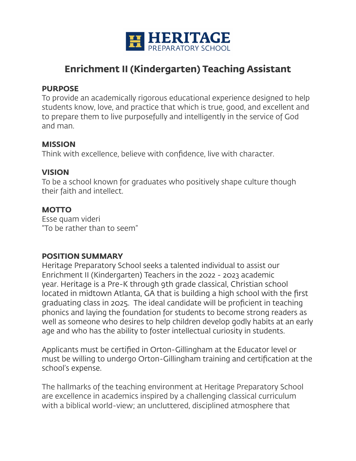

# **Enrichment II (Kindergarten) Teaching Assistant**

#### **PURPOSE**

To provide an academically rigorous educational experience designed to help students know, love, and practice that which is true, good, and excellent and to prepare them to live purposefully and intelligently in the service of God and man.

#### **MISSION**

Think with excellence, believe with confidence, live with character.

# **VISION**

To be a school known for graduates who positively shape culture though their faith and intellect.

# **MOTTO**

Esse quam videri "To be rather than to seem"

## **POSITION SUMMARY**

Heritage Preparatory School seeks a talented individual to assist our Enrichment II (Kindergarten) Teachers in the 2022 - 2023 academic year. Heritage is a Pre-K through 9th grade classical, Christian school located in midtown Atlanta, GA that is building a high school with the first graduating class in 2025. The ideal candidate will be proficient in teaching phonics and laying the foundation for students to become strong readers as well as someone who desires to help children develop godly habits at an early age and who has the ability to foster intellectual curiosity in students.

Applicants must be certified in Orton-Gillingham at the Educator level or must be willing to undergo Orton-Gillingham training and certification at the school's expense.

The hallmarks of the teaching environment at Heritage Preparatory School are excellence in academics inspired by a challenging classical curriculum with a biblical world-view; an uncluttered, disciplined atmosphere that